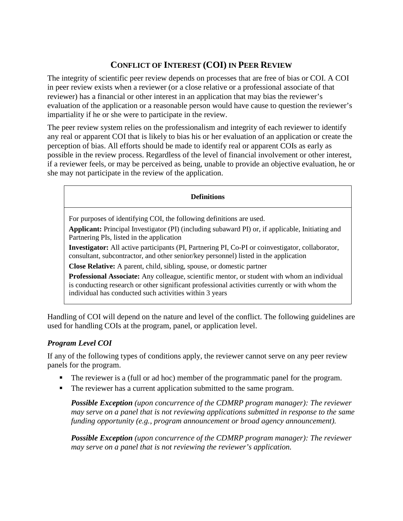# **CONFLICT OF INTEREST (COI) IN PEER REVIEW**

The integrity of scientific peer review depends on processes that are free of bias or COI. A COI in peer review exists when a reviewer (or a close relative or a professional associate of that reviewer) has a financial or other interest in an application that may bias the reviewer's evaluation of the application or a reasonable person would have cause to question the reviewer's impartiality if he or she were to participate in the review.

The peer review system relies on the professionalism and integrity of each reviewer to identify any real or apparent COI that is likely to bias his or her evaluation of an application or create the perception of bias. All efforts should be made to identify real or apparent COIs as early as possible in the review process. Regardless of the level of financial involvement or other interest, if a reviewer feels, or may be perceived as being, unable to provide an objective evaluation, he or she may not participate in the review of the application.

#### **Definitions**

For purposes of identifying COI, the following definitions are used.

**Applicant:** Principal Investigator (PI) (including subaward PI) or, if applicable, Initiating and Partnering PIs, listed in the application

**Investigator:** All active participants (PI, Partnering PI, Co-PI or coinvestigator, collaborator, consultant, subcontractor, and other senior/key personnel) listed in the application

**Close Relative:** A parent, child, sibling, spouse, or domestic partner

**Professional Associate:** Any colleague, scientific mentor, or student with whom an individual is conducting research or other significant professional activities currently or with whom the individual has conducted such activities within 3 years

Handling of COI will depend on the nature and level of the conflict. The following guidelines are used for handling COIs at the program, panel, or application level.

### *Program Level COI*

If any of the following types of conditions apply, the reviewer cannot serve on any peer review panels for the program.

- The reviewer is a (full or ad hoc) member of the programmatic panel for the program.
- The reviewer has a current application submitted to the same program.

*Possible Exception (upon concurrence of the CDMRP program manager): The reviewer may serve on a panel that is not reviewing applications submitted in response to the same funding opportunity (e.g., program announcement or broad agency announcement).*

*Possible Exception (upon concurrence of the CDMRP program manager): The reviewer may serve on a panel that is not reviewing the reviewer's application.*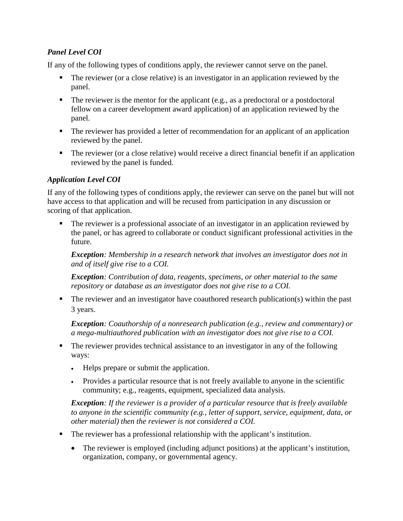## *Panel Level COI*

If any of the following types of conditions apply, the reviewer cannot serve on the panel.

- The reviewer (or a close relative) is an investigator in an application reviewed by the panel.
- $\blacksquare$  The reviewer is the mentor for the applicant (e.g., as a predoctoral or a postdoctoral fellow on a career development award application) of an application reviewed by the panel.
- The reviewer has provided a letter of recommendation for an applicant of an application reviewed by the panel.
- The reviewer (or a close relative) would receive a direct financial benefit if an application reviewed by the panel is funded.

## *Application Level COI*

If any of the following types of conditions apply, the reviewer can serve on the panel but will not have access to that application and will be recused from participation in any discussion or scoring of that application.

The reviewer is a professional associate of an investigator in an application reviewed by the panel, or has agreed to collaborate or conduct significant professional activities in the future.

*Exception: Membership in a research network that involves an investigator does not in and of itself give rise to a COI.*

*Exception: Contribution of data, reagents, specimens, or other material to the same repository or database as an investigator does not give rise to a COI.*

• The reviewer and an investigator have coauthored research publication(s) within the past 3 years.

*Exception: Coauthorship of a nonresearch publication (e.g., review and commentary) or a mega-multiauthored publication with an investigator does not give rise to a COI.*

- The reviewer provides technical assistance to an investigator in any of the following ways:
	- Helps prepare or submit the application.
	- Provides a particular resource that is not freely available to anyone in the scientific community; e.g., reagents, equipment, specialized data analysis.

*Exception: If the reviewer is a provider of a particular resource that is freely available to anyone in the scientific community (e.g., letter of support, service, equipment, data, or other material) then the reviewer is not considered a COI.*

- The reviewer has a professional relationship with the applicant's institution.
	- The reviewer is employed (including adjunct positions) at the applicant's institution, organization, company, or governmental agency.